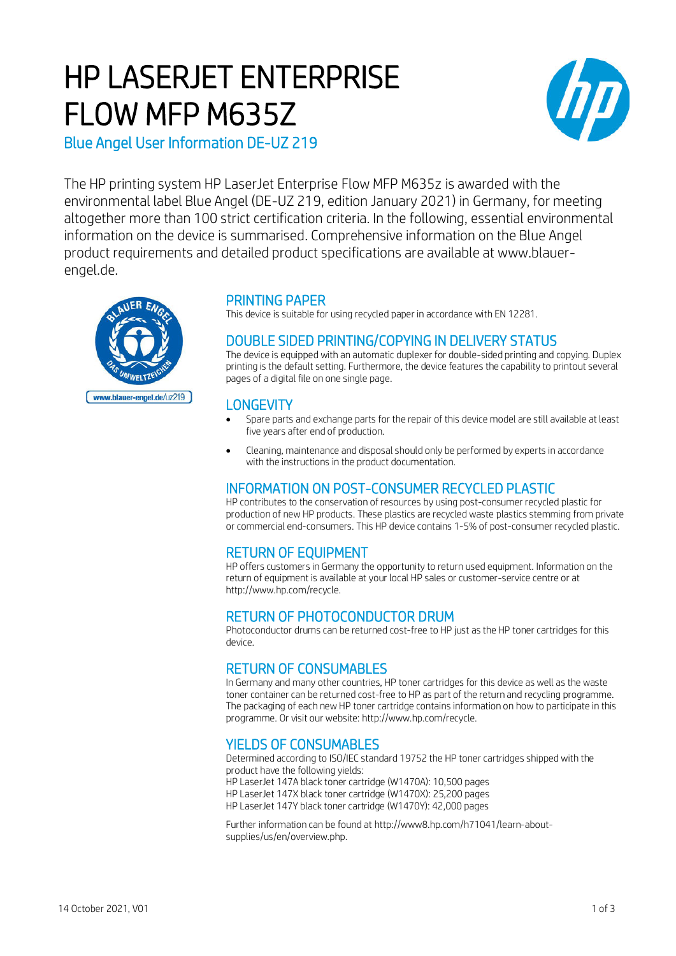# HP LASERJET ENTERPRISE FLOW MFP M635Z



Blue Angel User Information DE-UZ 219

The HP printing system HP LaserJet Enterprise Flow MFP M635z is awarded with the environmental label Blue Angel (DE-UZ 219, edition January 2021) in Germany, for meeting altogether more than 100 strict certification criteria. In the following, essential environmental information on the device is summarised. Comprehensive information on the Blue Angel product requirements and detailed product specifications are available at www.blauerengel.de.



### PRINTING PAPER

This device is suitable for using recycled paper in accordance with EN 12281.

## DOUBLE SIDED PRINTING/COPYING IN DELIVERY STATUS

The device is equipped with an automatic duplexer for double-sided printing and copying. Duplex printing is the default setting. Furthermore, the device features the capability to printout several pages of a digital file on one single page.

### **LONGEVITY**

- Spare parts and exchange parts for the repair of this device model are still available at least five years after end of production.
- Cleaning, maintenance and disposal should only be performed by experts in accordance with the instructions in the product documentation.

### INFORMATION ON POST-CONSUMER RECYCLED PLASTIC

HP contributes to the conservation of resources by using post-consumer recycled plastic for production of new HP products. These plastics are recycled waste plastics stemming from private or commercial end-consumers. This HP device contains 1-5% of post-consumer recycled plastic.

# RETURN OF EQUIPMENT

HP offers customers in Germany the opportunity to return used equipment. Information on the return of equipment is available at your local HP sales or customer-service centre or at http://www.hp.com/recycle.

### RETURN OF PHOTOCONDUCTOR DRUM

Photoconductor drums can be returned cost-free to HP just as the HP toner cartridges for this device.

# RETURN OF CONSUMABLES

In Germany and many other countries, HP toner cartridges for this device as well as the waste toner container can be returned cost-free to HP as part of the return and recycling programme. The packaging of each new HP toner cartridge contains information on how to participate in this programme. Or visit our website: http://www.hp.com/recycle.

# YIELDS OF CONSUMABLES

Determined according to ISO/IEC standard 19752 the HP toner cartridges shipped with the product have the following yields: HP LaserJet 147A black toner cartridge (W1470A): 10,500 pages HP LaserJet 147X black toner cartridge (W1470X): 25,200 pages HP LaserJet 147Y black toner cartridge (W1470Y): 42,000 pages

Further information can be found at http://www8.hp.com/h71041/learn-aboutsupplies/us/en/overview.php.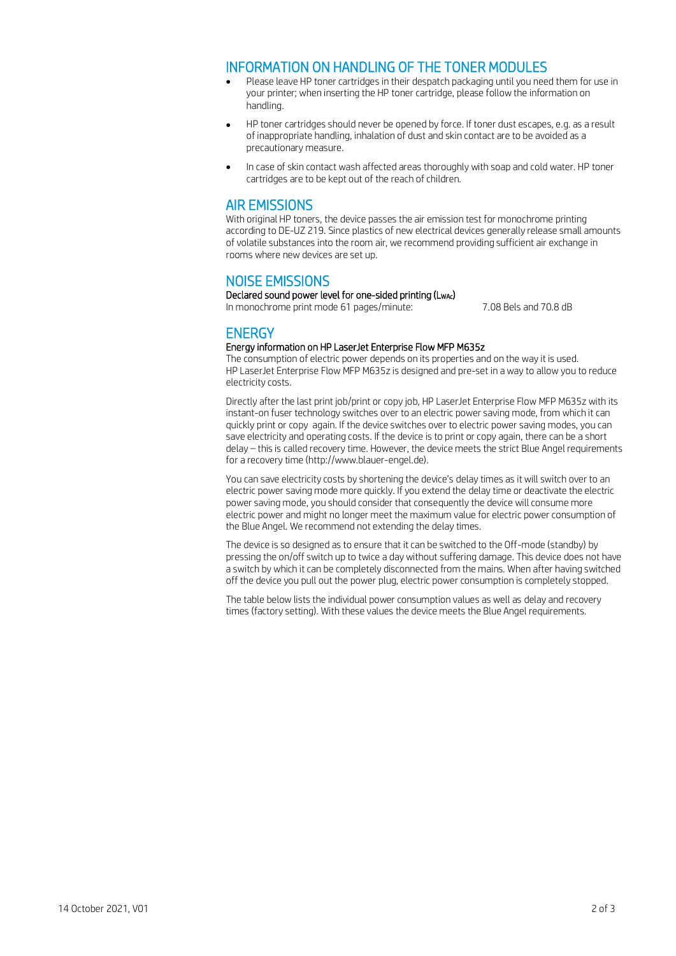#### INFORMATION ON HANDLING OF THE TONER MODULES

- Please leave HP toner cartridges in their despatch packaging until you need them for use in your printer; when inserting the HP toner cartridge, please follow the information on handling.
- HP toner cartridges should never be opened by force. If toner dust escapes, e.g. as a result of inappropriate handling, inhalation of dust and skin contact are to be avoided as a precautionary measure.
- In case of skin contact wash affected areas thoroughly with soap and cold water. HP toner cartridges are to be kept out of the reach of children.

#### AIR EMISSIONS

With original HP toners, the device passes the air emission test for monochrome printing according to DE-UZ 219. Since plastics of new electrical devices generally release small amounts of volatile substances into the room air, we recommend providing sufficient air exchange in rooms where new devices are set up.

#### NOISE EMISSIONS

Declared sound power level for one-sided printing (LwAc) In monochrome print mode 61 pages/minute: 7.08 Bels and 70.8 dB

## **ENERGY**

#### Energy information on HP LaserJet Enterprise Flow MFP M635z

The consumption of electric power depends on its properties and on the way it is used. HP LaserJet Enterprise Flow MFP M635z is designed and pre-set in a way to allow you to reduce electricity costs.

Directly after the last print job/print or copy job, HP LaserJet Enterprise Flow MFP M635z with its instant-on fuser technology switches over to an electric power saving mode, from which it can quickly print or copy again. If the device switches over to electric power saving modes, you can save electricity and operating costs. If the device is to print or copy again, there can be a short delay – this is called recovery time. However, the device meets the strict Blue Angel requirements for a recovery time (http://www.blauer-engel.de).

You can save electricity costs by shortening the device's delay times as it will switch over to an electric power saving mode more quickly. If you extend the delay time or deactivate the electric power saving mode, you should consider that consequently the device will consume more electric power and might no longer meet the maximum value for electric power consumption of the Blue Angel. We recommend not extending the delay times.

The device is so designed as to ensure that it can be switched to the Off-mode (standby) by pressing the on/off switch up to twice a day without suffering damage. This device does not have a switch by which it can be completely disconnected from the mains. When after having switched off the device you pull out the power plug, electric power consumption is completely stopped.

The table below lists the individual power consumption values as well as delay and recovery times (factory setting). With these values the device meets the Blue Angel requirements.